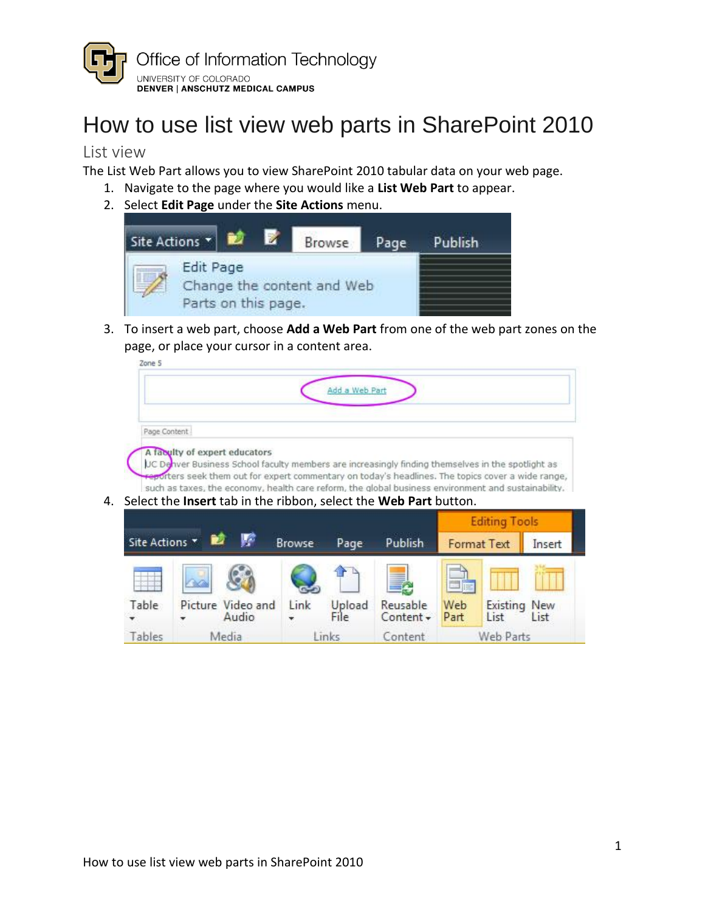

## How to use list view web parts in SharePoint 2010

## List view

The List Web Part allows you to view SharePoint 2010 tabular data on your web page.

- 1. Navigate to the page where you would like a **List Web Part** to appear.
- 2. Select **Edit Page** under the **Site Actions** menu.



 3. To insert a web part, choose **Add a Web Part** from one of the web part zones on the page, or place your cursor in a content area.

|              |                                                                                |               | Add a Web Part |         |                                                                                                                                                                                                                                                                                                                |        |
|--------------|--------------------------------------------------------------------------------|---------------|----------------|---------|----------------------------------------------------------------------------------------------------------------------------------------------------------------------------------------------------------------------------------------------------------------------------------------------------------------|--------|
| Page Content |                                                                                |               |                |         |                                                                                                                                                                                                                                                                                                                |        |
|              | A faculty of expert educators                                                  |               |                |         | UC Denver Business School faculty members are increasingly finding themselves in the spotlight as<br>reporters seek them out for expert commentary on today's headlines. The topics cover a wide range,<br>such as taxes, the economy, health care reform, the global business environment and sustainability. |        |
|              | Select the <b>Insert</b> tab in the ribbon, select the <b>Web Part</b> button. |               |                |         |                                                                                                                                                                                                                                                                                                                |        |
|              |                                                                                |               |                |         | <b>Editing Tools</b>                                                                                                                                                                                                                                                                                           |        |
| Site Actions |                                                                                | <b>Browse</b> | Page           | Publish | <b>Format Text</b>                                                                                                                                                                                                                                                                                             | Insert |

Table Picture-Video-and Link Upload Reusable Web Existing-New .<br>▼ Audio . File Content• Part List List

Tables Media Links Content Web Parts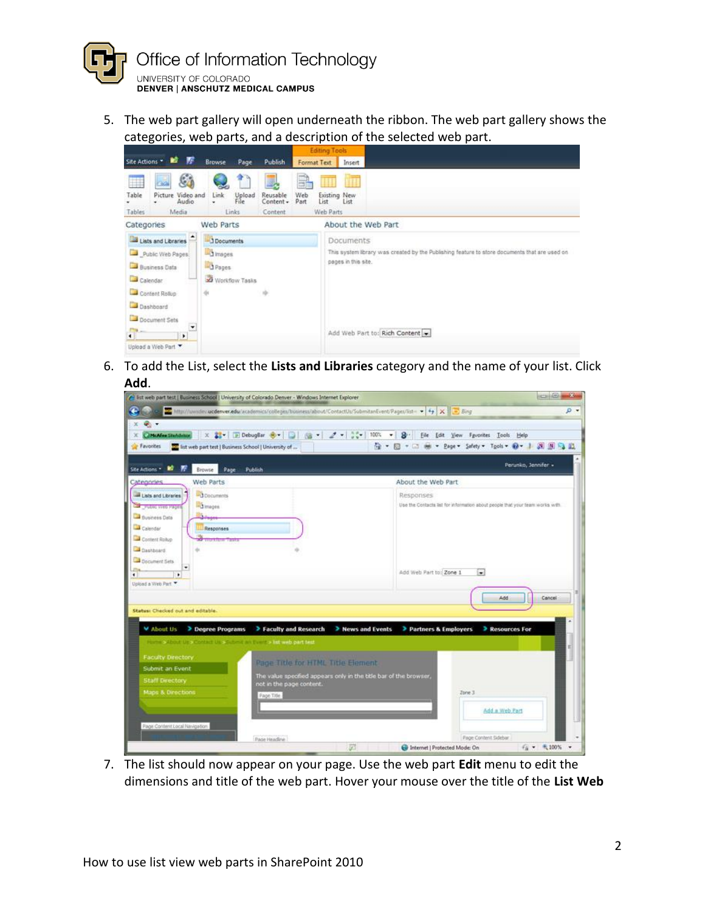

5. The web part gallery will open underneath the ribbon. The web part gallery shows the categories, web parts, and a description of the selected web part.



6. To add the List, select the Lists and Libraries category and the name of your list. Click **hbA** 

| <b>C.</b><br>X 33   IE DebugBar @      <br>$98 - 2 - 35$<br>100%<br><b>ChicAfee Stundvisor</b><br>天王<br>$3^{\circ}$<br>☆ → 同 →<br>Favorites<br>and list web part test   Business School   University of<br>w<br>w<br>Site Actions *<br>Page<br>Publish<br>Browse<br>Web Parts<br>Categories<br><b>Documents</b><br>Lists and Libraries<br><b>In Images</b><br>Public Web Pages<br>Business Data<br>Calendar<br>Responses<br>Content Rolup<br><b>THURSDAY TASKS</b><br>Dashboard<br><b>Decument Sets</b><br>٠<br>$\bullet$<br>Upicad a Web Part<br>Status: Checked out and editable.<br>> News and Events<br>About Us<br>> Degree Programs<br>> Faculty and Research<br>four in School Up a Contact Up significant and complex list with part bird.<br><b>Faculty Deectory</b><br>Page Title for HTML Title Element<br>Submit an Event<br>The value specified appears only in the title bar of the browser,<br><b>Staff Directory</b><br>not in the page content. | Eile Edit View Favorites Tools Help<br>- Page > Safety > Tgols > 0 - 1 四 四 四 四<br>Perunko, Jennifer »<br>About the Web Part<br>Responses<br>Use the Contacts lat for information about people that your team works with. |
|------------------------------------------------------------------------------------------------------------------------------------------------------------------------------------------------------------------------------------------------------------------------------------------------------------------------------------------------------------------------------------------------------------------------------------------------------------------------------------------------------------------------------------------------------------------------------------------------------------------------------------------------------------------------------------------------------------------------------------------------------------------------------------------------------------------------------------------------------------------------------------------------------------------------------------------------------------------|--------------------------------------------------------------------------------------------------------------------------------------------------------------------------------------------------------------------------|
|                                                                                                                                                                                                                                                                                                                                                                                                                                                                                                                                                                                                                                                                                                                                                                                                                                                                                                                                                                  |                                                                                                                                                                                                                          |
|                                                                                                                                                                                                                                                                                                                                                                                                                                                                                                                                                                                                                                                                                                                                                                                                                                                                                                                                                                  |                                                                                                                                                                                                                          |
|                                                                                                                                                                                                                                                                                                                                                                                                                                                                                                                                                                                                                                                                                                                                                                                                                                                                                                                                                                  |                                                                                                                                                                                                                          |
|                                                                                                                                                                                                                                                                                                                                                                                                                                                                                                                                                                                                                                                                                                                                                                                                                                                                                                                                                                  |                                                                                                                                                                                                                          |
|                                                                                                                                                                                                                                                                                                                                                                                                                                                                                                                                                                                                                                                                                                                                                                                                                                                                                                                                                                  |                                                                                                                                                                                                                          |
|                                                                                                                                                                                                                                                                                                                                                                                                                                                                                                                                                                                                                                                                                                                                                                                                                                                                                                                                                                  |                                                                                                                                                                                                                          |
|                                                                                                                                                                                                                                                                                                                                                                                                                                                                                                                                                                                                                                                                                                                                                                                                                                                                                                                                                                  |                                                                                                                                                                                                                          |
|                                                                                                                                                                                                                                                                                                                                                                                                                                                                                                                                                                                                                                                                                                                                                                                                                                                                                                                                                                  |                                                                                                                                                                                                                          |
|                                                                                                                                                                                                                                                                                                                                                                                                                                                                                                                                                                                                                                                                                                                                                                                                                                                                                                                                                                  |                                                                                                                                                                                                                          |
|                                                                                                                                                                                                                                                                                                                                                                                                                                                                                                                                                                                                                                                                                                                                                                                                                                                                                                                                                                  |                                                                                                                                                                                                                          |
|                                                                                                                                                                                                                                                                                                                                                                                                                                                                                                                                                                                                                                                                                                                                                                                                                                                                                                                                                                  |                                                                                                                                                                                                                          |
|                                                                                                                                                                                                                                                                                                                                                                                                                                                                                                                                                                                                                                                                                                                                                                                                                                                                                                                                                                  | Add Web Part to: Zone 1<br>$\overline{\phantom{a}}$                                                                                                                                                                      |
|                                                                                                                                                                                                                                                                                                                                                                                                                                                                                                                                                                                                                                                                                                                                                                                                                                                                                                                                                                  |                                                                                                                                                                                                                          |
|                                                                                                                                                                                                                                                                                                                                                                                                                                                                                                                                                                                                                                                                                                                                                                                                                                                                                                                                                                  |                                                                                                                                                                                                                          |
|                                                                                                                                                                                                                                                                                                                                                                                                                                                                                                                                                                                                                                                                                                                                                                                                                                                                                                                                                                  | Add<br>Cancel                                                                                                                                                                                                            |
|                                                                                                                                                                                                                                                                                                                                                                                                                                                                                                                                                                                                                                                                                                                                                                                                                                                                                                                                                                  |                                                                                                                                                                                                                          |
|                                                                                                                                                                                                                                                                                                                                                                                                                                                                                                                                                                                                                                                                                                                                                                                                                                                                                                                                                                  | > Partners & Employers<br>> Resources For                                                                                                                                                                                |
|                                                                                                                                                                                                                                                                                                                                                                                                                                                                                                                                                                                                                                                                                                                                                                                                                                                                                                                                                                  |                                                                                                                                                                                                                          |
|                                                                                                                                                                                                                                                                                                                                                                                                                                                                                                                                                                                                                                                                                                                                                                                                                                                                                                                                                                  |                                                                                                                                                                                                                          |
|                                                                                                                                                                                                                                                                                                                                                                                                                                                                                                                                                                                                                                                                                                                                                                                                                                                                                                                                                                  |                                                                                                                                                                                                                          |
|                                                                                                                                                                                                                                                                                                                                                                                                                                                                                                                                                                                                                                                                                                                                                                                                                                                                                                                                                                  |                                                                                                                                                                                                                          |
|                                                                                                                                                                                                                                                                                                                                                                                                                                                                                                                                                                                                                                                                                                                                                                                                                                                                                                                                                                  |                                                                                                                                                                                                                          |
| <b>Maps &amp; Directions</b><br>Page Title                                                                                                                                                                                                                                                                                                                                                                                                                                                                                                                                                                                                                                                                                                                                                                                                                                                                                                                       | Zone 3                                                                                                                                                                                                                   |
|                                                                                                                                                                                                                                                                                                                                                                                                                                                                                                                                                                                                                                                                                                                                                                                                                                                                                                                                                                  | Add a Web Part                                                                                                                                                                                                           |
|                                                                                                                                                                                                                                                                                                                                                                                                                                                                                                                                                                                                                                                                                                                                                                                                                                                                                                                                                                  |                                                                                                                                                                                                                          |
| Page Content Local Navigation                                                                                                                                                                                                                                                                                                                                                                                                                                                                                                                                                                                                                                                                                                                                                                                                                                                                                                                                    |                                                                                                                                                                                                                          |

7. The list should now appear on your page. Use the web part Edit menu to edit the dimensions and title of the web part. Hover your mouse over the title of the List Web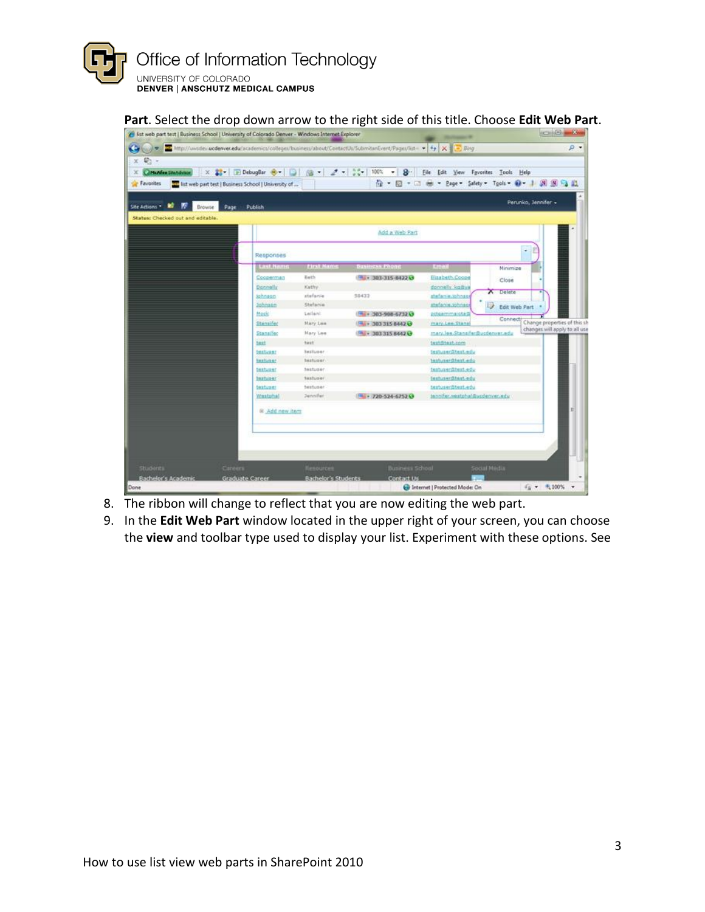

## Part. Select the drop down arrow to the right side of this title. Choose Edit Web Part.

| Favorites<br>The list web part test   Business School   University of |                           |                  | 合·回<br>$+$ $-$                 | Page - Safety - Tgols - @ -     | 周国局政                                  |
|-----------------------------------------------------------------------|---------------------------|------------------|--------------------------------|---------------------------------|---------------------------------------|
| Site Actions * <b>M</b><br>Browse<br>Page                             | Publish                   |                  |                                | Perunko, Jennifer »             |                                       |
| Status: Checked out and editable.                                     |                           |                  | Add a Web Part                 |                                 |                                       |
|                                                                       | Responses                 |                  |                                | ٠                               |                                       |
|                                                                       | <b>Last Name</b>          | <b>EIGH Name</b> | <b>Business Phone</b>          | <b>Email</b><br>Minimize        |                                       |
|                                                                       | Cocoerman                 | Bath             | FR. - 303-315-8422 G           | Elizabeth.Coope<br>Close        |                                       |
|                                                                       | Dannally                  | Kathy            |                                | donnelly fraitive               |                                       |
|                                                                       | <b>Schnean</b>            | stefanie         | 58433                          | A Delete<br>stefanie.jphnsoi    |                                       |
|                                                                       | <b>Johnson</b>            | Stefanie         |                                | penformalest<br>Edit Web Part   |                                       |
|                                                                       | Mock                      | Leilani          | Ma - 303-908-6732 G            | pitgammaktad                    |                                       |
|                                                                       | Stansifac                 | Mary Lee         | H + 303 315 6442 O             | mary.Lee.fitans                 | Connect: Change properties of this sh |
|                                                                       | Stansifer                 | <b>Mary Lee</b>  | <sup>54</sup> - 303 315 8442 Q | mary.lee.Stansfer@usdenver.edu  | changes will apply to all use         |
|                                                                       | test.                     | Tunt             |                                | testditest.com                  |                                       |
|                                                                       | testuser                  | Testuser         |                                | testuser@test.edu               |                                       |
|                                                                       | testuser                  | testuser         |                                | testuser@test.edu               |                                       |
|                                                                       | testurer                  | testuzer         |                                | testusenähest.edu               |                                       |
|                                                                       | <b>Installer</b>          | Testuser         |                                | testuserditest.edu              |                                       |
|                                                                       | textures                  | testuser         |                                | testuser@test.edu               |                                       |
|                                                                       | Westphal                  | Jennifer         | FM - 720-524-6752 G            | tennifer, westphal@updenver.edu |                                       |
|                                                                       | <b>&amp; Add new item</b> |                  |                                |                                 |                                       |
|                                                                       |                           |                  |                                |                                 |                                       |

- 8. The ribbon will change to reflect that you are now editing the web part.
- 9. In the Edit Web Part window located in the upper right of your screen, you can choose the view and toolbar type used to display your list. Experiment with these options. See